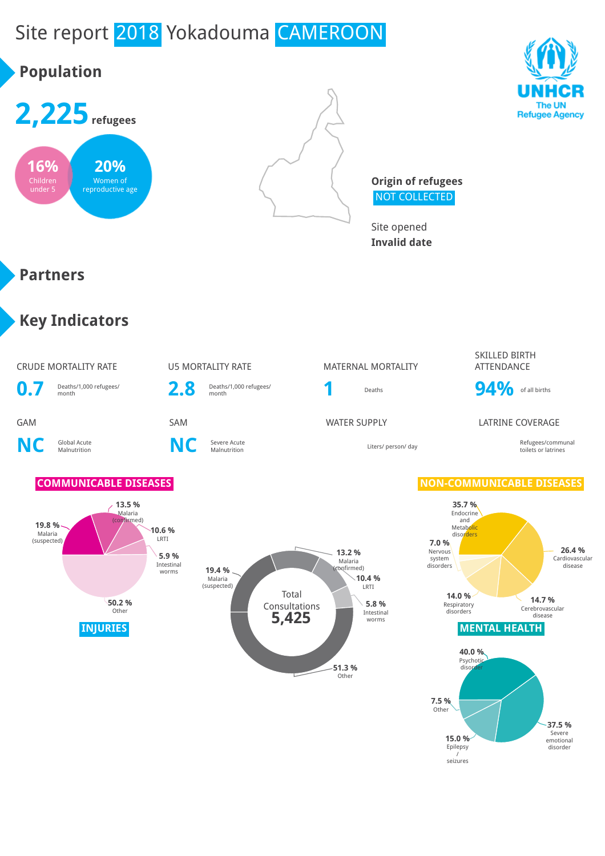# Site report 2018 Yokadouma CAMEROON

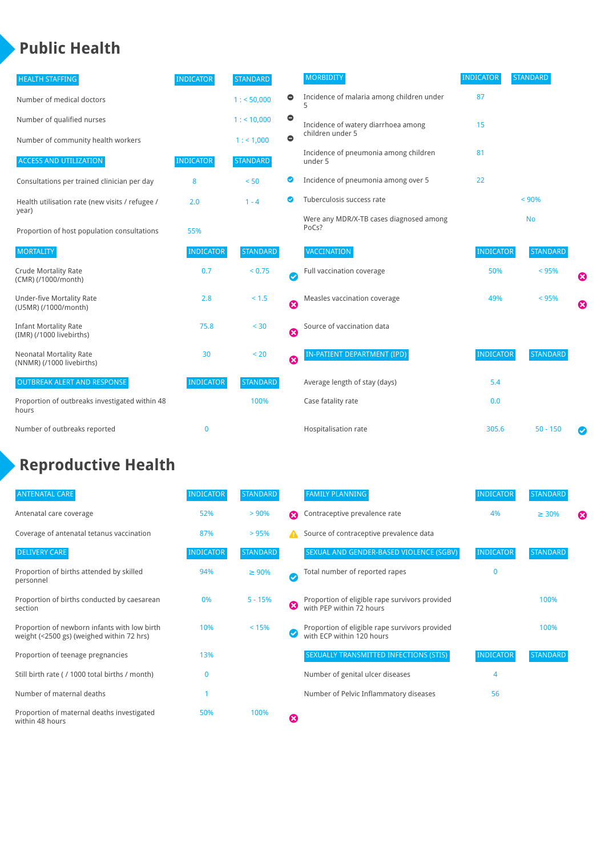### **Public Health**

| <b>HEALTH STAFFING</b>                                      | <b>INDICATOR</b> | <b>STANDARD</b> |           | <b>MORBIDITY</b>                                 | <b>INDICATOR</b> | <b>STANDARD</b> |   |
|-------------------------------------------------------------|------------------|-----------------|-----------|--------------------------------------------------|------------------|-----------------|---|
| Number of medical doctors                                   |                  | 1: 50,000       | $\bullet$ | Incidence of malaria among children under        | 87               |                 |   |
| Number of qualified nurses                                  |                  | $1:$ < 10,000   | $\bullet$ | Incidence of watery diarrhoea among              | 15               |                 |   |
| Number of community health workers                          |                  | 1:1,000         | $\bullet$ | children under 5                                 |                  |                 |   |
| <b>ACCESS AND UTILIZATION</b>                               | <b>INDICATOR</b> | <b>STANDARD</b> |           | Incidence of pneumonia among children<br>under 5 | 81               |                 |   |
| Consultations per trained clinician per day                 | 8                | < 50            | Ø         | Incidence of pneumonia among over 5              | 22               |                 |   |
| Health utilisation rate (new visits / refugee /             | 2.0              | $1 - 4$         | ☑         | Tuberculosis success rate                        |                  | < 90%           |   |
| year)<br>Proportion of host population consultations        | 55%              |                 |           | Were any MDR/X-TB cases diagnosed among<br>PoCs? |                  | <b>No</b>       |   |
| <b>MORTALITY</b>                                            | <b>INDICATOR</b> | <b>STANDARD</b> |           | <b>VACCINATION</b>                               | <b>INDICATOR</b> | <b>STANDARD</b> |   |
| <b>Crude Mortality Rate</b><br>(CMR) (/1000/month)          | 0.7              | < 0.75          | Ø         | Full vaccination coverage                        | 50%              | < 95%           | ೞ |
| Under-five Mortality Rate<br>(U5MR) (/1000/month)           | 2.8              | $< 1.5$         | ☺         | Measles vaccination coverage                     | 49%              | < 95%           | Ø |
| <b>Infant Mortality Rate</b><br>(IMR) (/1000 livebirths)    | 75.8             | $30$            | Ø         | Source of vaccination data                       |                  |                 |   |
| <b>Neonatal Mortality Rate</b><br>(NNMR) (/1000 livebirths) | 30               | < 20            | 0         | IN-PATIENT DEPARTMENT (IPD)                      | <b>INDICATOR</b> | <b>STANDARD</b> |   |
| <b>OUTBREAK ALERT AND RESPONSE</b>                          | <b>INDICATOR</b> | <b>STANDARD</b> |           | Average length of stay (days)                    | 5.4              |                 |   |
| Proportion of outbreaks investigated within 48<br>hours     |                  | 100%            |           | Case fatality rate                               | 0.0              |                 |   |
| Number of outbreaks reported                                | 0                |                 |           | Hospitalisation rate                             | 305.6            | $50 - 150$      |   |

## **Reproductive Health**

| <b>ANTENATAL CARE</b>                                                                     | <b>INDICATOR</b> | <b>STANDARD</b> |   | <b>FAMILY PLANNING</b>                                                      | <b>INDICATOR</b> | <b>STANDARD</b> |   |
|-------------------------------------------------------------------------------------------|------------------|-----------------|---|-----------------------------------------------------------------------------|------------------|-----------------|---|
| Antenatal care coverage                                                                   | 52%              | > 90%           | ⋒ | Contraceptive prevalence rate                                               | 4%               | $\geq 30\%$     | ⊠ |
| Coverage of antenatal tetanus vaccination                                                 | 87%              | >95%            |   | Source of contraceptive prevalence data                                     |                  |                 |   |
| <b>DELIVERY CARE</b>                                                                      | <b>INDICATOR</b> | <b>STANDARD</b> |   | SEXUAL AND GENDER-BASED VIOLENCE (SGBV)                                     | <b>INDICATOR</b> | <b>STANDARD</b> |   |
| Proportion of births attended by skilled<br>personnel                                     | 94%              | $\geq 90\%$     |   | Total number of reported rapes                                              | $\mathbf{0}$     |                 |   |
| Proportion of births conducted by caesarean<br>section                                    | 0%               | $5 - 15%$       | ೞ | Proportion of eligible rape survivors provided<br>with PEP within 72 hours  |                  | 100%            |   |
| Proportion of newborn infants with low birth<br>weight (<2500 gs) (weighed within 72 hrs) | 10%              | < 15%           |   | Proportion of eligible rape survivors provided<br>with ECP within 120 hours |                  | 100%            |   |
| Proportion of teenage pregnancies                                                         | 13%              |                 |   | SEXUALLY TRANSMITTED INFECTIONS (STIS)                                      | <b>INDICATOR</b> | <b>STANDARD</b> |   |
| Still birth rate ( / 1000 total births / month)                                           |                  |                 |   | Number of genital ulcer diseases                                            | 4                |                 |   |
| Number of maternal deaths                                                                 |                  |                 |   | Number of Pelvic Inflammatory diseases                                      | 56               |                 |   |
| Proportion of maternal deaths investigated<br>within 48 hours                             | 50%              | 100%            | ظ |                                                                             |                  |                 |   |